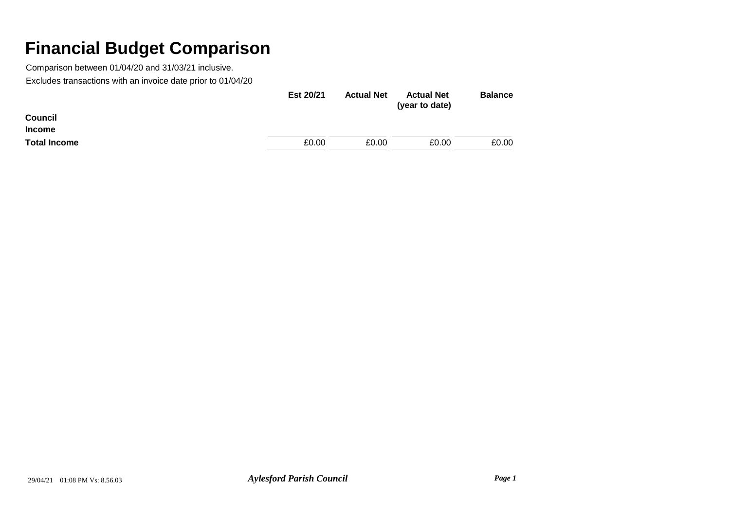|                     | Est 20/21 | <b>Actual Net</b> | <b>Actual Net</b><br>(year to date) | <b>Balance</b> |
|---------------------|-----------|-------------------|-------------------------------------|----------------|
| Council             |           |                   |                                     |                |
| <b>Income</b>       |           |                   |                                     |                |
| <b>Total Income</b> | £0.00     | £0.00             | £0.00                               | £0.00          |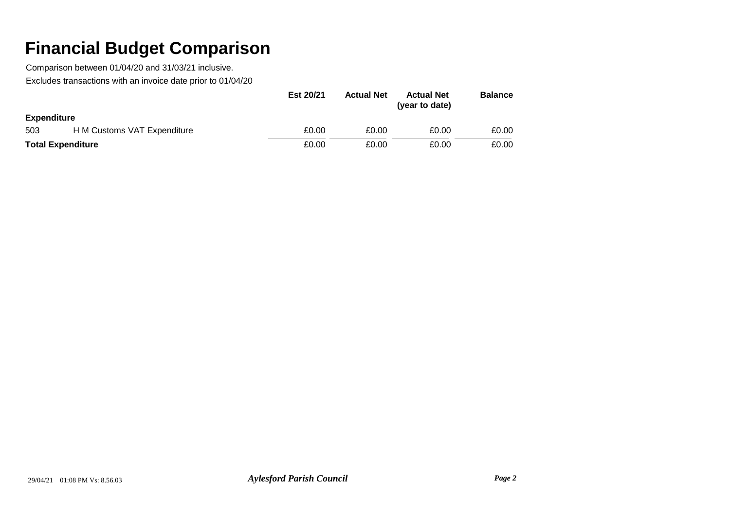|                          |                             | Est 20/21 | <b>Actual Net</b> | <b>Actual Net</b><br>(year to date) | <b>Balance</b> |
|--------------------------|-----------------------------|-----------|-------------------|-------------------------------------|----------------|
| <b>Expenditure</b>       |                             |           |                   |                                     |                |
| 503                      | H M Customs VAT Expenditure | £0.00     | £0.00             | £0.00                               | £0.00          |
| <b>Total Expenditure</b> |                             | £0.00     | £0.00             | £0.00                               | £0.00          |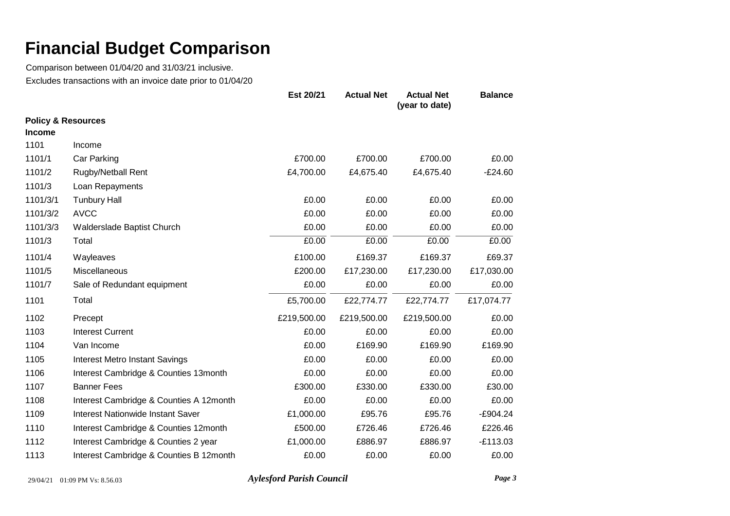Comparison between 01/04/20 and 31/03/21 inclusive. Excludes transactions with an invoice date prior to 01/04/20

|               |                                         | Est 20/21   | <b>Actual Net</b> | <b>Actual Net</b><br>(year to date) | <b>Balance</b> |
|---------------|-----------------------------------------|-------------|-------------------|-------------------------------------|----------------|
|               | <b>Policy &amp; Resources</b>           |             |                   |                                     |                |
| <b>Income</b> |                                         |             |                   |                                     |                |
| 1101          | Income                                  |             |                   |                                     |                |
| 1101/1        | Car Parking                             | £700.00     | £700.00           | £700.00                             | £0.00          |
| 1101/2        | Rugby/Netball Rent                      | £4,700.00   | £4,675.40         | £4,675.40                           | $-E24.60$      |
| 1101/3        | Loan Repayments                         |             |                   |                                     |                |
| 1101/3/1      | <b>Tunbury Hall</b>                     | £0.00       | £0.00             | £0.00                               | £0.00          |
| 1101/3/2      | <b>AVCC</b>                             | £0.00       | £0.00             | £0.00                               | £0.00          |
| 1101/3/3      | Walderslade Baptist Church              | £0.00       | £0.00             | £0.00                               | £0.00          |
| 1101/3        | Total                                   | £0.00       | £0.00             | £0.00                               | £0.00          |
| 1101/4        | Wayleaves                               | £100.00     | £169.37           | £169.37                             | £69.37         |
| 1101/5        | Miscellaneous                           | £200.00     | £17,230.00        | £17,230.00                          | £17,030.00     |
| 1101/7        | Sale of Redundant equipment             | £0.00       | £0.00             | £0.00                               | £0.00          |
| 1101          | Total                                   | £5,700.00   | £22,774.77        | £22,774.77                          | £17,074.77     |
| 1102          | Precept                                 | £219,500.00 | £219,500.00       | £219,500.00                         | £0.00          |
| 1103          | <b>Interest Current</b>                 | £0.00       | £0.00             | £0.00                               | £0.00          |
| 1104          | Van Income                              | £0.00       | £169.90           | £169.90                             | £169.90        |
| 1105          | <b>Interest Metro Instant Savings</b>   | £0.00       | £0.00             | £0.00                               | £0.00          |
| 1106          | Interest Cambridge & Counties 13month   | £0.00       | £0.00             | £0.00                               | £0.00          |
| 1107          | <b>Banner Fees</b>                      | £300.00     | £330.00           | £330.00                             | £30.00         |
| 1108          | Interest Cambridge & Counties A 12month | £0.00       | £0.00             | £0.00                               | £0.00          |
| 1109          | Interest Nationwide Instant Saver       | £1,000.00   | £95.76            | £95.76                              | $-£904.24$     |
| 1110          | Interest Cambridge & Counties 12month   | £500.00     | £726.46           | £726.46                             | £226.46        |
| 1112          | Interest Cambridge & Counties 2 year    | £1,000.00   | £886.97           | £886.97                             | $-E113.03$     |
| 1113          | Interest Cambridge & Counties B 12month | £0.00       | £0.00             | £0.00                               | £0.00          |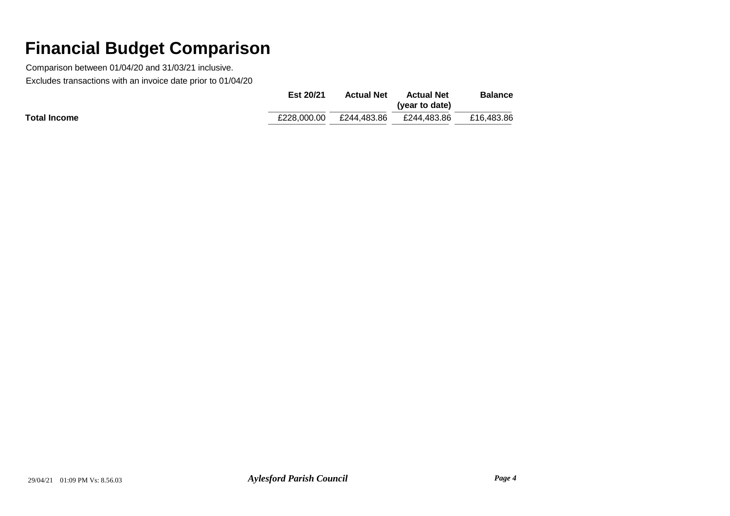|                     | Est 20/21   | <b>Actual Net</b> | <b>Actual Net</b><br>(year to date) | <b>Balance</b> |
|---------------------|-------------|-------------------|-------------------------------------|----------------|
| <b>Total Income</b> | £228.000.00 | £244.483.86       | £244.483.86                         | £16.483.86     |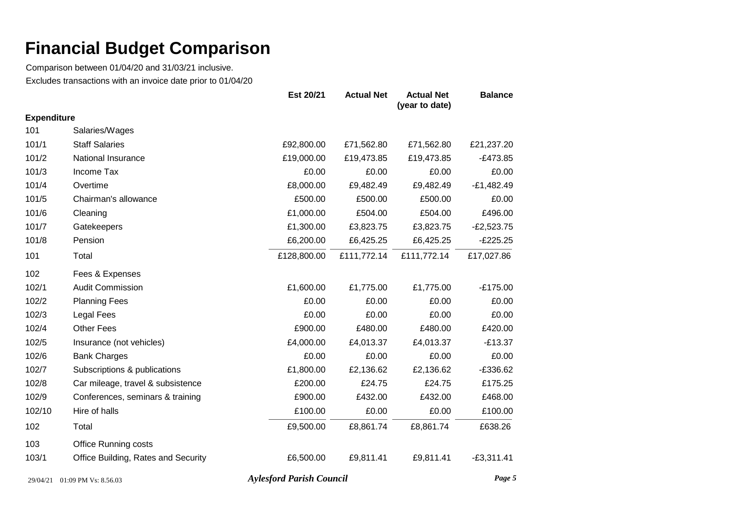Comparison between 01/04/20 and 31/03/21 inclusive. Excludes transactions with an invoice date prior to 01/04/20

|                    |                                     | Est 20/21   | <b>Actual Net</b> | <b>Actual Net</b><br>(year to date) | <b>Balance</b> |
|--------------------|-------------------------------------|-------------|-------------------|-------------------------------------|----------------|
| <b>Expenditure</b> |                                     |             |                   |                                     |                |
| 101                | Salaries/Wages                      |             |                   |                                     |                |
| 101/1              | <b>Staff Salaries</b>               | £92,800.00  | £71,562.80        | £71,562.80                          | £21,237.20     |
| 101/2              | National Insurance                  | £19,000.00  | £19,473.85        | £19,473.85                          | $-E473.85$     |
| 101/3              | Income Tax                          | £0.00       | £0.00             | £0.00                               | £0.00          |
| 101/4              | Overtime                            | £8,000.00   | £9,482.49         | £9,482.49                           | $-E1,482.49$   |
| 101/5              | Chairman's allowance                | £500.00     | £500.00           | £500.00                             | £0.00          |
| 101/6              | Cleaning                            | £1,000.00   | £504.00           | £504.00                             | £496.00        |
| 101/7              | Gatekeepers                         | £1,300.00   | £3,823.75         | £3,823.75                           | $-E2,523.75$   |
| 101/8              | Pension                             | £6,200.00   | £6,425.25         | £6,425.25                           | $-E225.25$     |
| 101                | Total                               | £128,800.00 | £111,772.14       | £111,772.14                         | £17,027.86     |
| 102                | Fees & Expenses                     |             |                   |                                     |                |
| 102/1              | <b>Audit Commission</b>             | £1,600.00   | £1,775.00         | £1,775.00                           | $-£175.00$     |
| 102/2              | <b>Planning Fees</b>                | £0.00       | £0.00             | £0.00                               | £0.00          |
| 102/3              | Legal Fees                          | £0.00       | £0.00             | £0.00                               | £0.00          |
| 102/4              | <b>Other Fees</b>                   | £900.00     | £480.00           | £480.00                             | £420.00        |
| 102/5              | Insurance (not vehicles)            | £4,000.00   | £4,013.37         | £4,013.37                           | $-£13.37$      |
| 102/6              | <b>Bank Charges</b>                 | £0.00       | £0.00             | £0.00                               | £0.00          |
| 102/7              | Subscriptions & publications        | £1,800.00   | £2,136.62         | £2,136.62                           | $-£336.62$     |
| 102/8              | Car mileage, travel & subsistence   | £200.00     | £24.75            | £24.75                              | £175.25        |
| 102/9              | Conferences, seminars & training    | £900.00     | £432.00           | £432.00                             | £468.00        |
| 102/10             | Hire of halls                       | £100.00     | £0.00             | £0.00                               | £100.00        |
| 102                | Total                               | £9,500.00   | £8,861.74         | £8,861.74                           | £638.26        |
| 103                | <b>Office Running costs</b>         |             |                   |                                     |                |
| 103/1              | Office Building, Rates and Security | £6,500.00   | £9,811.41         | £9,811.41                           | $-£3,311.41$   |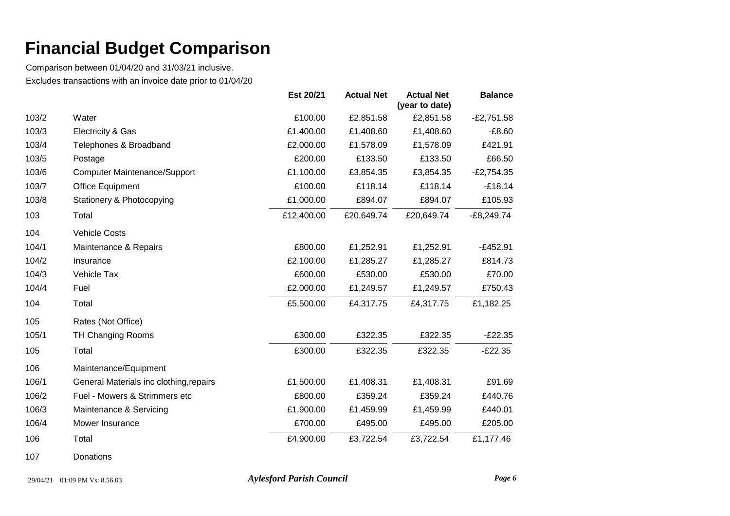Comparison between 01/04/20 and 31/03/21 inclusive. Excludes transactions with an invoice date prior to 01/04/20

|       |                                         | Est 20/21  | <b>Actual Net</b> | <b>Actual Net</b><br>(year to date) | <b>Balance</b> |
|-------|-----------------------------------------|------------|-------------------|-------------------------------------|----------------|
| 103/2 | Water                                   | £100.00    | £2,851.58         | £2,851.58                           | $-E2,751.58$   |
| 103/3 | Electricity & Gas                       | £1,400.00  | £1,408.60         | £1,408.60                           | $-£8.60$       |
| 103/4 | Telephones & Broadband                  | £2,000.00  | £1,578.09         | £1,578.09                           | £421.91        |
| 103/5 | Postage                                 | £200.00    | £133.50           | £133.50                             | £66.50         |
| 103/6 | <b>Computer Maintenance/Support</b>     | £1,100.00  | £3,854.35         | £3,854.35                           | $-E2,754.35$   |
| 103/7 | Office Equipment                        | £100.00    | £118.14           | £118.14                             | $-£18.14$      |
| 103/8 | Stationery & Photocopying               | £1,000.00  | £894.07           | £894.07                             | £105.93        |
| 103   | Total                                   | £12,400.00 | £20,649.74        | £20,649.74                          | $-E8,249.74$   |
| 104   | <b>Vehicle Costs</b>                    |            |                   |                                     |                |
| 104/1 | Maintenance & Repairs                   | £800.00    | £1,252.91         | £1,252.91                           | $-E452.91$     |
| 104/2 | Insurance                               | £2,100.00  | £1,285.27         | £1,285.27                           | £814.73        |
| 104/3 | Vehicle Tax                             | £600.00    | £530.00           | £530.00                             | £70.00         |
| 104/4 | Fuel                                    | £2,000.00  | £1,249.57         | £1,249.57                           | £750.43        |
| 104   | Total                                   | £5,500.00  | £4,317.75         | £4,317.75                           | £1,182.25      |
| 105   | Rates (Not Office)                      |            |                   |                                     |                |
| 105/1 | <b>TH Changing Rooms</b>                | £300.00    | £322.35           | £322.35                             | $-E22.35$      |
| 105   | Total                                   | £300.00    | £322.35           | £322.35                             | $-E22.35$      |
| 106   | Maintenance/Equipment                   |            |                   |                                     |                |
| 106/1 | General Materials inc clothing, repairs | £1,500.00  | £1,408.31         | £1,408.31                           | £91.69         |
| 106/2 | Fuel - Mowers & Strimmers etc           | £800.00    | £359.24           | £359.24                             | £440.76        |
| 106/3 | Maintenance & Servicing                 | £1,900.00  | £1,459.99         | £1,459.99                           | £440.01        |
| 106/4 | Mower Insurance                         | £700.00    | £495.00           | £495.00                             | £205.00        |
| 106   | Total                                   | £4,900.00  | £3,722.54         | £3,722.54                           | £1,177.46      |

107 Donations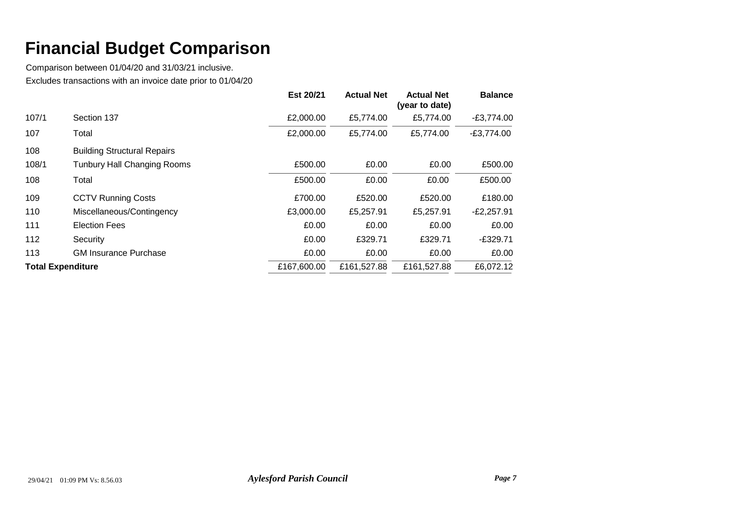|                          |                                    | Est 20/21   | <b>Actual Net</b> | <b>Actual Net</b><br>(year to date) | <b>Balance</b> |
|--------------------------|------------------------------------|-------------|-------------------|-------------------------------------|----------------|
| 107/1                    | Section 137                        | £2,000.00   | £5,774.00         | £5,774.00                           | $-E3,774.00$   |
| 107                      | Total                              | £2,000.00   | £5,774.00         | £5,774.00                           | $-E3,774.00$   |
| 108                      | <b>Building Structural Repairs</b> |             |                   |                                     |                |
| 108/1                    | <b>Tunbury Hall Changing Rooms</b> | £500.00     | £0.00             | £0.00                               | £500.00        |
| 108                      | Total                              | £500.00     | £0.00             | £0.00                               | £500.00        |
| 109                      | <b>CCTV Running Costs</b>          | £700.00     | £520.00           | £520.00                             | £180.00        |
| 110                      | Miscellaneous/Contingency          | £3,000.00   | £5,257.91         | £5,257.91                           | $-E2,257.91$   |
| 111                      | <b>Election Fees</b>               | £0.00       | £0.00             | £0.00                               | £0.00          |
| 112                      | Security                           | £0.00       | £329.71           | £329.71                             | $-£329.71$     |
| 113                      | <b>GM Insurance Purchase</b>       | £0.00       | £0.00             | £0.00                               | £0.00          |
| <b>Total Expenditure</b> |                                    | £167,600.00 | £161,527.88       | £161,527.88                         | £6,072.12      |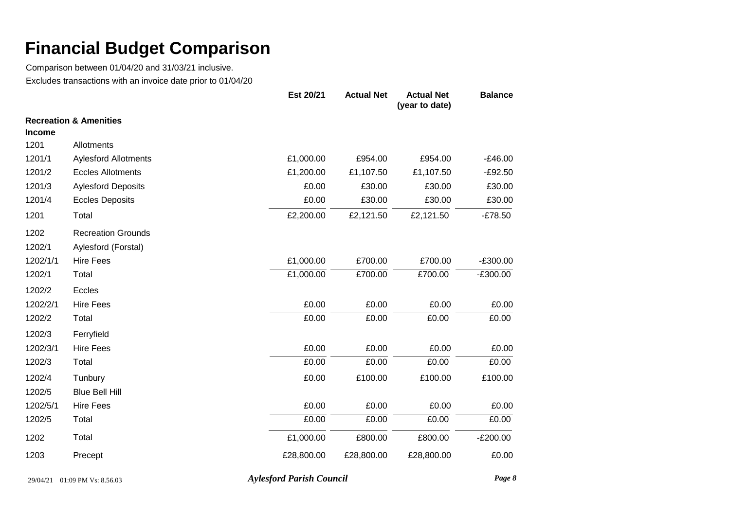Comparison between 01/04/20 and 31/03/21 inclusive. Excludes transactions with an invoice date prior to 01/04/20

|               |                                   | Est 20/21  | <b>Actual Net</b> | <b>Actual Net</b><br>(year to date) | <b>Balance</b> |
|---------------|-----------------------------------|------------|-------------------|-------------------------------------|----------------|
|               | <b>Recreation &amp; Amenities</b> |            |                   |                                     |                |
| <b>Income</b> |                                   |            |                   |                                     |                |
| 1201          | Allotments                        |            |                   |                                     |                |
| 1201/1        | <b>Aylesford Allotments</b>       | £1,000.00  | £954.00           | £954.00                             | $-£46.00$      |
| 1201/2        | <b>Eccles Allotments</b>          | £1,200.00  | £1,107.50         | £1,107.50                           | $-£92.50$      |
| 1201/3        | <b>Aylesford Deposits</b>         | £0.00      | £30.00            | £30.00                              | £30.00         |
| 1201/4        | <b>Eccles Deposits</b>            | £0.00      | £30.00            | £30.00                              | £30.00         |
| 1201          | Total                             | £2,200.00  | £2,121.50         | £2,121.50                           | $-£78.50$      |
| 1202          | <b>Recreation Grounds</b>         |            |                   |                                     |                |
| 1202/1        | Aylesford (Forstal)               |            |                   |                                     |                |
| 1202/1/1      | <b>Hire Fees</b>                  | £1,000.00  | £700.00           | £700.00                             | $-£300.00$     |
| 1202/1        | Total                             | £1,000.00  | £700.00           | £700.00                             | $-E300.00$     |
| 1202/2        | Eccles                            |            |                   |                                     |                |
| 1202/2/1      | <b>Hire Fees</b>                  | £0.00      | £0.00             | £0.00                               | £0.00          |
| 1202/2        | Total                             | £0.00      | £0.00             | £0.00                               | £0.00          |
| 1202/3        | Ferryfield                        |            |                   |                                     |                |
| 1202/3/1      | <b>Hire Fees</b>                  | £0.00      | £0.00             | £0.00                               | £0.00          |
| 1202/3        | Total                             | £0.00      | £0.00             | £0.00                               | £0.00          |
| 1202/4        | Tunbury                           | £0.00      | £100.00           | £100.00                             | £100.00        |
| 1202/5        | <b>Blue Bell Hill</b>             |            |                   |                                     |                |
| 1202/5/1      | <b>Hire Fees</b>                  | £0.00      | £0.00             | £0.00                               | £0.00          |
| 1202/5        | Total                             | £0.00      | £0.00             | £0.00                               | £0.00          |
| 1202          | Total                             | £1,000.00  | £800.00           | £800.00                             | $-E200.00$     |
| 1203          | Precept                           | £28,800.00 | £28,800.00        | £28,800.00                          | £0.00          |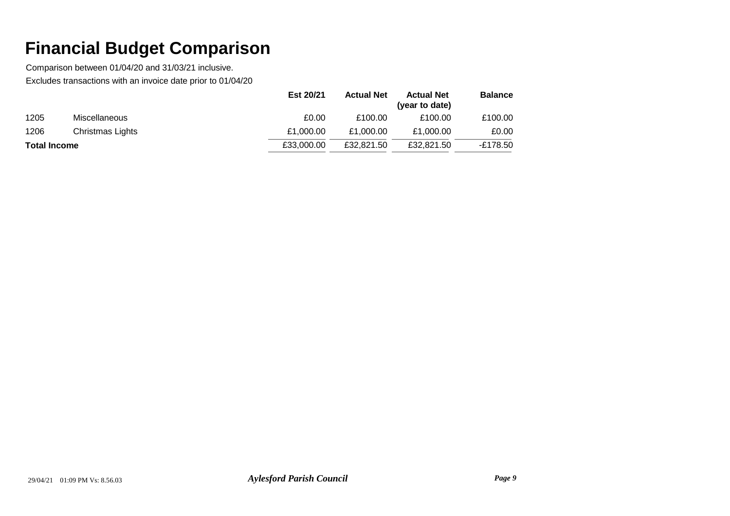|                     |                      | Est 20/21  | <b>Actual Net</b> | <b>Actual Net</b><br>(year to date) | <b>Balance</b> |
|---------------------|----------------------|------------|-------------------|-------------------------------------|----------------|
| 1205                | <b>Miscellaneous</b> | £0.00      | £100.00           | £100.00                             | £100.00        |
| 1206                | Christmas Lights     | £1,000.00  | £1.000.00         | £1,000.00                           | £0.00          |
| <b>Total Income</b> |                      | £33,000.00 | £32,821.50        | £32.821.50                          | -£178.50       |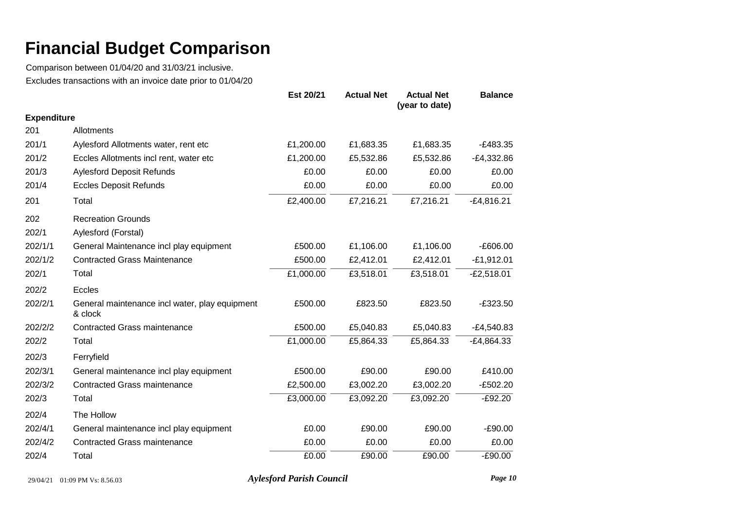Comparison between 01/04/20 and 31/03/21 inclusive. Excludes transactions with an invoice date prior to 01/04/20

|                    |                                                           | Est 20/21 | <b>Actual Net</b> | <b>Actual Net</b><br>(year to date) | <b>Balance</b> |
|--------------------|-----------------------------------------------------------|-----------|-------------------|-------------------------------------|----------------|
| <b>Expenditure</b> |                                                           |           |                   |                                     |                |
| 201                | Allotments                                                |           |                   |                                     |                |
| 201/1              | Aylesford Allotments water, rent etc                      | £1,200.00 | £1,683.35         | £1,683.35                           | $-E483.35$     |
| 201/2              | Eccles Allotments incl rent, water etc                    | £1,200.00 | £5,532.86         | £5,532.86                           | $-E4,332.86$   |
| 201/3              | <b>Aylesford Deposit Refunds</b>                          | £0.00     | £0.00             | £0.00                               | £0.00          |
| 201/4              | <b>Eccles Deposit Refunds</b>                             | £0.00     | £0.00             | £0.00                               | £0.00          |
| 201                | Total                                                     | £2,400.00 | £7,216.21         | £7,216.21                           | $-E4,816.21$   |
| 202                | <b>Recreation Grounds</b>                                 |           |                   |                                     |                |
| 202/1              | Aylesford (Forstal)                                       |           |                   |                                     |                |
| 202/1/1            | General Maintenance incl play equipment                   | £500.00   | £1,106.00         | £1,106.00                           | $-£606.00$     |
| 202/1/2            | <b>Contracted Grass Maintenance</b>                       | £500.00   | £2,412.01         | £2,412.01                           | $-E1,912.01$   |
| 202/1              | Total                                                     | £1,000.00 | £3,518.01         | £3,518.01                           | $-E2,518.01$   |
| 202/2              | Eccles                                                    |           |                   |                                     |                |
| 202/2/1            | General maintenance incl water, play equipment<br>& clock | £500.00   | £823.50           | £823.50                             | $-£323.50$     |
| 202/2/2            | <b>Contracted Grass maintenance</b>                       | £500.00   | £5,040.83         | £5,040.83                           | $-E4,540.83$   |
| 202/2              | Total                                                     | £1,000.00 | £5,864.33         | £5,864.33                           | $-E4,864.33$   |
| 202/3              | Ferryfield                                                |           |                   |                                     |                |
| 202/3/1            | General maintenance incl play equipment                   | £500.00   | £90.00            | £90.00                              | £410.00        |
| 202/3/2            | <b>Contracted Grass maintenance</b>                       | £2,500.00 | £3,002.20         | £3,002.20                           | $-E502.20$     |
| 202/3              | Total                                                     | £3,000.00 | £3,092.20         | £3,092.20                           | $-E92.20$      |
| 202/4              | The Hollow                                                |           |                   |                                     |                |
| 202/4/1            | General maintenance incl play equipment                   | £0.00     | £90.00            | £90.00                              | $-£90.00$      |
| 202/4/2            | <b>Contracted Grass maintenance</b>                       | £0.00     | £0.00             | £0.00                               | £0.00          |
| 202/4              | Total                                                     | £0.00     | £90.00            | £90.00                              | $-£90.00$      |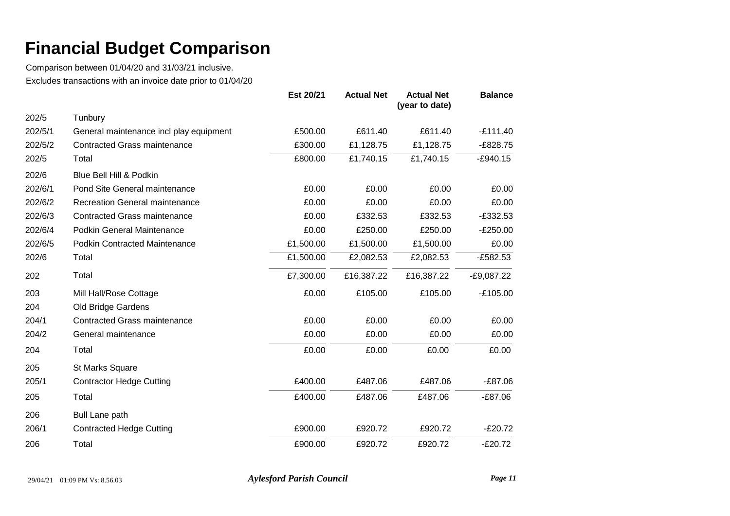Comparison between 01/04/20 and 31/03/21 inclusive. Excludes transactions with an invoice date prior to 01/04/20

|         |                                         | Est 20/21 | <b>Actual Net</b> | <b>Actual Net</b><br>(year to date) | <b>Balance</b> |
|---------|-----------------------------------------|-----------|-------------------|-------------------------------------|----------------|
| 202/5   | Tunbury                                 |           |                   |                                     |                |
| 202/5/1 | General maintenance incl play equipment | £500.00   | £611.40           | £611.40                             | $-£111.40$     |
| 202/5/2 | <b>Contracted Grass maintenance</b>     | £300.00   | £1,128.75         | £1,128.75                           | $-E828.75$     |
| 202/5   | Total                                   | £800.00   | £1,740.15         | £1,740.15                           | $-E940.15$     |
| 202/6   | Blue Bell Hill & Podkin                 |           |                   |                                     |                |
| 202/6/1 | Pond Site General maintenance           | £0.00     | £0.00             | £0.00                               | £0.00          |
| 202/6/2 | <b>Recreation General maintenance</b>   | £0.00     | £0.00             | £0.00                               | £0.00          |
| 202/6/3 | <b>Contracted Grass maintenance</b>     | £0.00     | £332.53           | £332.53                             | $-£332.53$     |
| 202/6/4 | Podkin General Maintenance              | £0.00     | £250.00           | £250.00                             | $-E250.00$     |
| 202/6/5 | <b>Podkin Contracted Maintenance</b>    | £1,500.00 | £1,500.00         | £1,500.00                           | £0.00          |
| 202/6   | Total                                   | £1,500.00 | £2,082.53         | £2,082.53                           | $-E582.53$     |
| 202     | Total                                   | £7,300.00 | £16,387.22        | £16,387.22                          | $-E9,087.22$   |
| 203     | Mill Hall/Rose Cottage                  | £0.00     | £105.00           | £105.00                             | $-£105.00$     |
| 204     | Old Bridge Gardens                      |           |                   |                                     |                |
| 204/1   | <b>Contracted Grass maintenance</b>     | £0.00     | £0.00             | £0.00                               | £0.00          |
| 204/2   | General maintenance                     | £0.00     | £0.00             | £0.00                               | £0.00          |
| 204     | Total                                   | £0.00     | £0.00             | £0.00                               | £0.00          |
| 205     | <b>St Marks Square</b>                  |           |                   |                                     |                |
| 205/1   | <b>Contractor Hedge Cutting</b>         | £400.00   | £487.06           | £487.06                             | $-£87.06$      |
| 205     | Total                                   | £400.00   | £487.06           | £487.06                             | $-E87.06$      |
| 206     | <b>Bull Lane path</b>                   |           |                   |                                     |                |
| 206/1   | <b>Contracted Hedge Cutting</b>         | £900.00   | £920.72           | £920.72                             | $-E20.72$      |
| 206     | Total                                   | £900.00   | £920.72           | £920.72                             | $-E20.72$      |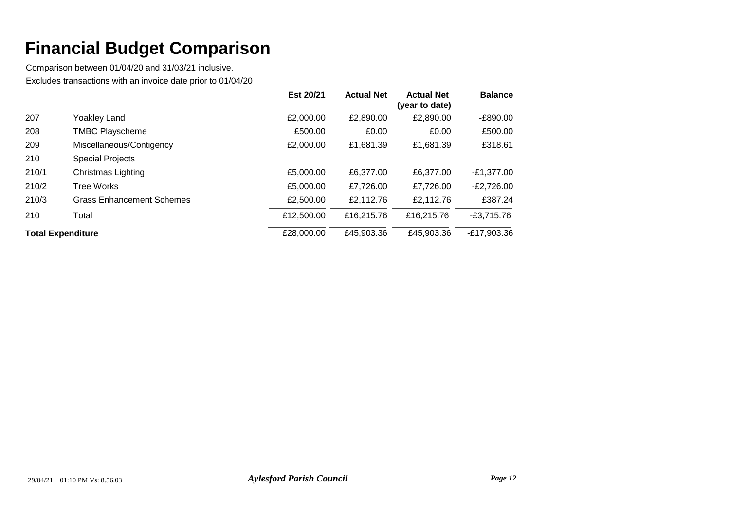|                          |                                  | Est 20/21  | <b>Actual Net</b> | <b>Actual Net</b><br>(year to date) | <b>Balance</b> |
|--------------------------|----------------------------------|------------|-------------------|-------------------------------------|----------------|
| 207                      | Yoakley Land                     | £2,000.00  | £2,890.00         | £2,890.00                           | $-E890.00$     |
| 208                      | <b>TMBC Playscheme</b>           | £500.00    | £0.00             | £0.00                               | £500.00        |
| 209                      | Miscellaneous/Contigency         | £2,000.00  | £1,681.39         | £1,681.39                           | £318.61        |
| 210                      | <b>Special Projects</b>          |            |                   |                                     |                |
| 210/1                    | Christmas Lighting               | £5,000.00  | £6,377.00         | £6,377,00                           | $-E1,377.00$   |
| 210/2                    | Tree Works                       | £5,000.00  | £7,726.00         | £7,726.00                           | $-E2,726.00$   |
| 210/3                    | <b>Grass Enhancement Schemes</b> | £2,500.00  | £2,112.76         | £2,112.76                           | £387.24        |
| 210                      | Total                            | £12,500.00 | £16,215.76        | £16,215,76                          | $-E3,715.76$   |
| <b>Total Expenditure</b> |                                  | £28,000.00 | £45,903.36        | £45,903.36                          | $-E17,903.36$  |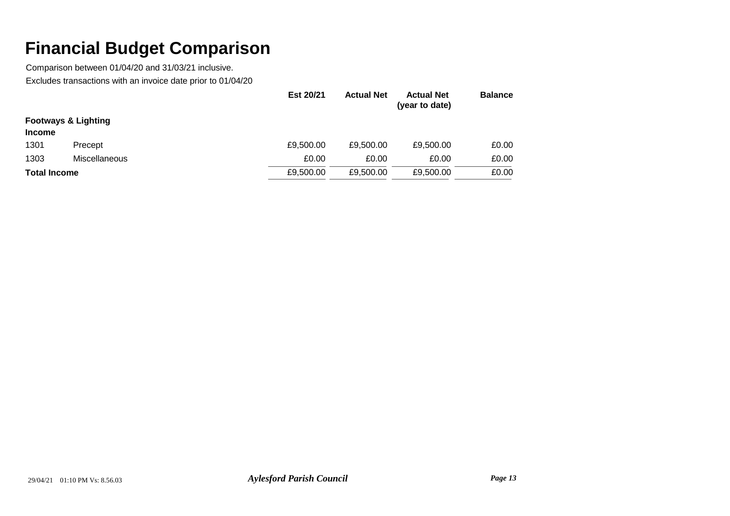|                     |                                | Est 20/21 | <b>Actual Net</b> | <b>Actual Net</b><br>(year to date) | <b>Balance</b> |
|---------------------|--------------------------------|-----------|-------------------|-------------------------------------|----------------|
|                     | <b>Footways &amp; Lighting</b> |           |                   |                                     |                |
| <b>Income</b>       |                                |           |                   |                                     |                |
| 1301                | Precept                        | £9,500.00 | £9,500.00         | £9,500.00                           | £0.00          |
| 1303                | Miscellaneous                  | £0.00     | £0.00             | £0.00                               | £0.00          |
| <b>Total Income</b> |                                | £9,500.00 | £9,500.00         | £9,500.00                           | £0.00          |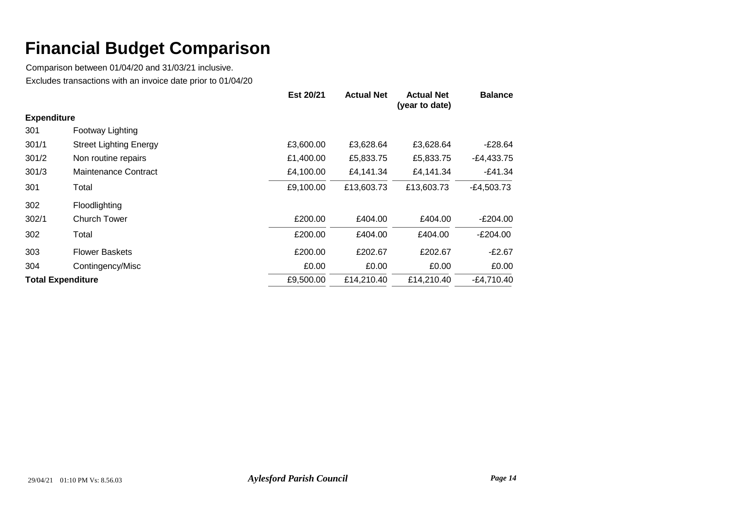|                          |                               | Est 20/21 | <b>Actual Net</b> | <b>Actual Net</b><br>(year to date) | <b>Balance</b> |
|--------------------------|-------------------------------|-----------|-------------------|-------------------------------------|----------------|
| <b>Expenditure</b>       |                               |           |                   |                                     |                |
| 301                      | Footway Lighting              |           |                   |                                     |                |
| 301/1                    | <b>Street Lighting Energy</b> | £3,600.00 | £3,628.64         | £3,628.64                           | E28.64-        |
| 301/2                    | Non routine repairs           | £1,400.00 | £5,833.75         | £5,833.75                           | $-E4,433.75$   |
| 301/3                    | <b>Maintenance Contract</b>   | £4,100.00 | £4,141.34         | £4,141.34                           | $-E41.34$      |
| 301                      | Total                         | £9,100.00 | £13,603.73        | £13,603.73                          | $-E4,503.73$   |
| 302                      | Floodlighting                 |           |                   |                                     |                |
| 302/1                    | <b>Church Tower</b>           | £200.00   | £404.00           | £404.00                             | E204.00        |
| 302                      | Total                         | £200.00   | £404.00           | £404.00                             | $-E204.00$     |
| 303                      | <b>Flower Baskets</b>         | £200.00   | £202.67           | £202.67                             | $-E2.67$       |
| 304                      | Contingency/Misc              | £0.00     | £0.00             | £0.00                               | £0.00          |
| <b>Total Expenditure</b> |                               | £9,500.00 | £14,210.40        | £14,210.40                          | $-E4,710.40$   |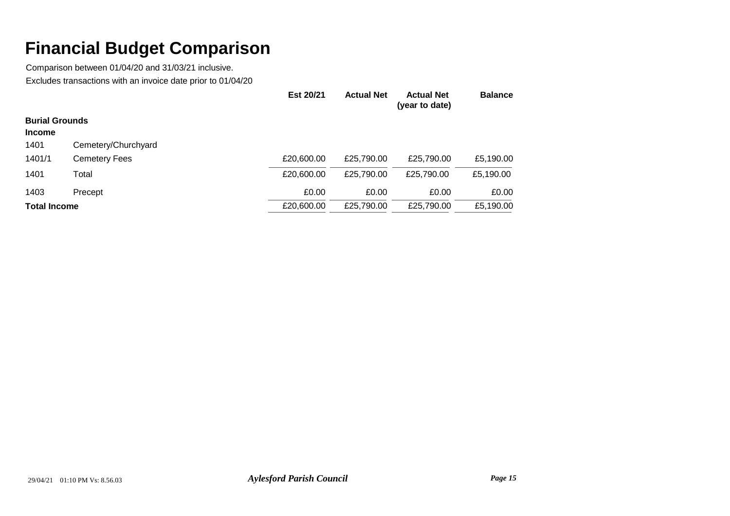|                       |                      | Est 20/21  | <b>Actual Net</b> | <b>Actual Net</b><br>(year to date) | <b>Balance</b> |
|-----------------------|----------------------|------------|-------------------|-------------------------------------|----------------|
| <b>Burial Grounds</b> |                      |            |                   |                                     |                |
| <b>Income</b>         |                      |            |                   |                                     |                |
| 1401                  | Cemetery/Churchyard  |            |                   |                                     |                |
| 1401/1                | <b>Cemetery Fees</b> | £20,600.00 | £25,790.00        | £25,790.00                          | £5,190.00      |
| 1401                  | Total                | £20,600.00 | £25,790.00        | £25,790.00                          | £5,190.00      |
| 1403                  | Precept              | £0.00      | £0.00             | £0.00                               | £0.00          |
| <b>Total Income</b>   |                      | £20,600.00 | £25,790.00        | £25,790.00                          | £5,190.00      |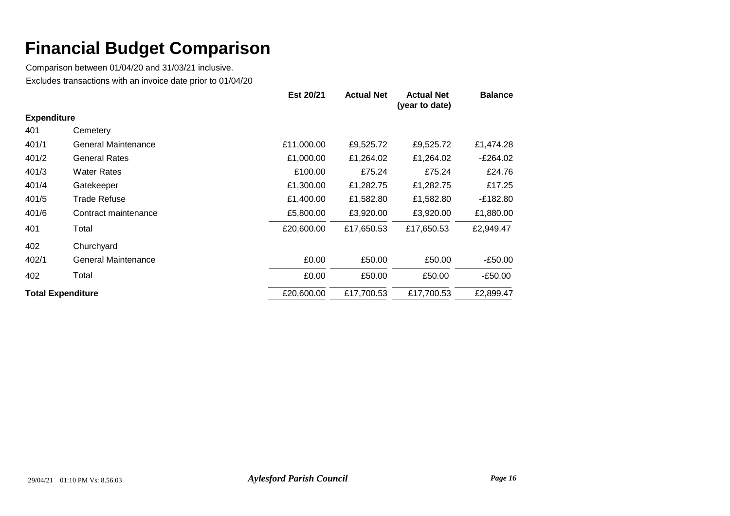|                          |                            | Est 20/21  | <b>Actual Net</b> | <b>Actual Net</b><br>(year to date) | <b>Balance</b> |
|--------------------------|----------------------------|------------|-------------------|-------------------------------------|----------------|
| <b>Expenditure</b>       |                            |            |                   |                                     |                |
| 401                      | Cemetery                   |            |                   |                                     |                |
| 401/1                    | <b>General Maintenance</b> | £11,000.00 | £9,525.72         | £9,525.72                           | £1,474.28      |
| 401/2                    | <b>General Rates</b>       | £1,000.00  | £1,264.02         | £1,264.02                           | $-E264.02$     |
| 401/3                    | <b>Water Rates</b>         | £100.00    | £75.24            | £75.24                              | £24.76         |
| 401/4                    | Gatekeeper                 | £1,300.00  | £1,282.75         | £1,282.75                           | £17.25         |
| 401/5                    | <b>Trade Refuse</b>        | £1,400.00  | £1,582.80         | £1,582.80                           | -£182.80       |
| 401/6                    | Contract maintenance       | £5,800.00  | £3,920.00         | £3,920.00                           | £1,880.00      |
| 401                      | Total                      | £20,600.00 | £17,650.53        | £17,650.53                          | £2,949.47      |
| 402                      | Churchyard                 |            |                   |                                     |                |
| 402/1                    | <b>General Maintenance</b> | £0.00      | £50.00            | £50.00                              | $-£50.00$      |
| 402                      | Total                      | £0.00      | £50.00            | £50.00                              | $-E50.00$      |
| <b>Total Expenditure</b> |                            | £20,600.00 | £17,700.53        | £17,700.53                          | £2,899.47      |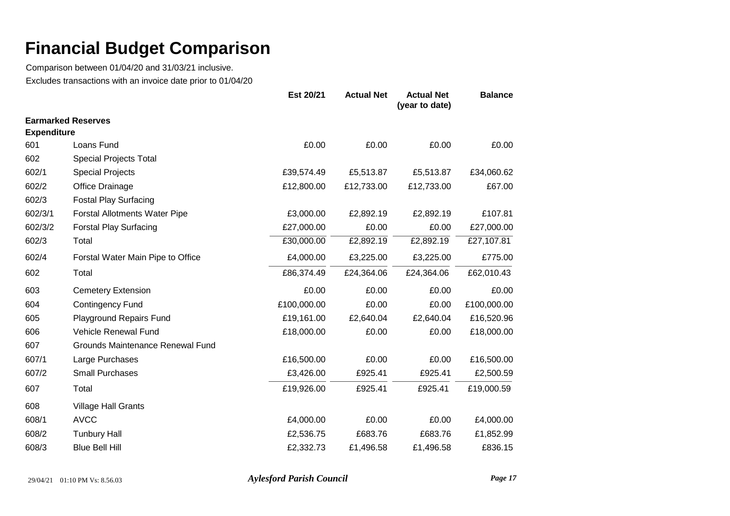Comparison between 01/04/20 and 31/03/21 inclusive. Excludes transactions with an invoice date prior to 01/04/20

|                    |                                      | Est 20/21   | <b>Actual Net</b> | <b>Actual Net</b><br>(year to date) | <b>Balance</b> |
|--------------------|--------------------------------------|-------------|-------------------|-------------------------------------|----------------|
|                    | <b>Earmarked Reserves</b>            |             |                   |                                     |                |
| <b>Expenditure</b> |                                      |             |                   |                                     |                |
| 601                | Loans Fund                           | £0.00       | £0.00             | £0.00                               | £0.00          |
| 602                | Special Projects Total               |             |                   |                                     |                |
| 602/1              | <b>Special Projects</b>              | £39,574.49  | £5,513.87         | £5,513.87                           | £34,060.62     |
| 602/2              | Office Drainage                      | £12,800.00  | £12,733.00        | £12,733.00                          | £67.00         |
| 602/3              | <b>Fostal Play Surfacing</b>         |             |                   |                                     |                |
| 602/3/1            | <b>Forstal Allotments Water Pipe</b> | £3,000.00   | £2,892.19         | £2,892.19                           | £107.81        |
| 602/3/2            | <b>Forstal Play Surfacing</b>        | £27,000.00  | £0.00             | £0.00                               | £27,000.00     |
| 602/3              | Total                                | £30,000.00  | £2,892.19         | £2,892.19                           | £27,107.81     |
| 602/4              | Forstal Water Main Pipe to Office    | £4,000.00   | £3,225.00         | £3,225.00                           | £775.00        |
| 602                | Total                                | £86,374.49  | £24,364.06        | £24,364.06                          | £62,010.43     |
| 603                | <b>Cemetery Extension</b>            | £0.00       | £0.00             | £0.00                               | £0.00          |
| 604                | <b>Contingency Fund</b>              | £100,000.00 | £0.00             | £0.00                               | £100,000.00    |
| 605                | Playground Repairs Fund              | £19,161.00  | £2,640.04         | £2,640.04                           | £16,520.96     |
| 606                | <b>Vehicle Renewal Fund</b>          | £18,000.00  | £0.00             | £0.00                               | £18,000.00     |
| 607                | Grounds Maintenance Renewal Fund     |             |                   |                                     |                |
| 607/1              | Large Purchases                      | £16,500.00  | £0.00             | £0.00                               | £16,500.00     |
| 607/2              | <b>Small Purchases</b>               | £3,426.00   | £925.41           | £925.41                             | £2,500.59      |
| 607                | Total                                | £19,926.00  | £925.41           | £925.41                             | £19,000.59     |
| 608                | <b>Village Hall Grants</b>           |             |                   |                                     |                |
| 608/1              | <b>AVCC</b>                          | £4,000.00   | £0.00             | £0.00                               | £4,000.00      |
| 608/2              | <b>Tunbury Hall</b>                  | £2,536.75   | £683.76           | £683.76                             | £1,852.99      |
| 608/3              | <b>Blue Bell Hill</b>                | £2,332.73   | £1,496.58         | £1,496.58                           | £836.15        |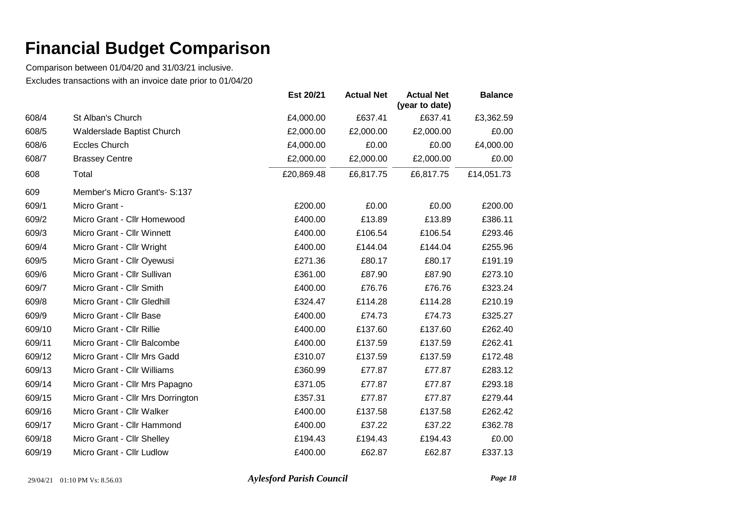Comparison between 01/04/20 and 31/03/21 inclusive. Excludes transactions with an invoice date prior to 01/04/20

|        |                                   | Est 20/21  | <b>Actual Net</b> | <b>Actual Net</b><br>(year to date) | <b>Balance</b> |
|--------|-----------------------------------|------------|-------------------|-------------------------------------|----------------|
| 608/4  | St Alban's Church                 | £4,000.00  | £637.41           | £637.41                             | £3,362.59      |
| 608/5  | Walderslade Baptist Church        | £2,000.00  | £2,000.00         | £2,000.00                           | £0.00          |
| 608/6  | <b>Eccles Church</b>              | £4,000.00  | £0.00             | £0.00                               | £4,000.00      |
| 608/7  | <b>Brassey Centre</b>             | £2,000.00  | £2,000.00         | £2,000.00                           | £0.00          |
| 608    | Total                             | £20,869.48 | £6,817.75         | £6,817.75                           | £14,051.73     |
| 609    | Member's Micro Grant's- S:137     |            |                   |                                     |                |
| 609/1  | Micro Grant -                     | £200.00    | £0.00             | £0.00                               | £200.00        |
| 609/2  | Micro Grant - Cllr Homewood       | £400.00    | £13.89            | £13.89                              | £386.11        |
| 609/3  | Micro Grant - Cllr Winnett        | £400.00    | £106.54           | £106.54                             | £293.46        |
| 609/4  | Micro Grant - Cllr Wright         | £400.00    | £144.04           | £144.04                             | £255.96        |
| 609/5  | Micro Grant - Cllr Oyewusi        | £271.36    | £80.17            | £80.17                              | £191.19        |
| 609/6  | Micro Grant - Cllr Sullivan       | £361.00    | £87.90            | £87.90                              | £273.10        |
| 609/7  | Micro Grant - Cllr Smith          | £400.00    | £76.76            | £76.76                              | £323.24        |
| 609/8  | Micro Grant - Cllr Gledhill       | £324.47    | £114.28           | £114.28                             | £210.19        |
| 609/9  | Micro Grant - Cllr Base           | £400.00    | £74.73            | £74.73                              | £325.27        |
| 609/10 | Micro Grant - Cllr Rillie         | £400.00    | £137.60           | £137.60                             | £262.40        |
| 609/11 | Micro Grant - Cllr Balcombe       | £400.00    | £137.59           | £137.59                             | £262.41        |
| 609/12 | Micro Grant - Cllr Mrs Gadd       | £310.07    | £137.59           | £137.59                             | £172.48        |
| 609/13 | Micro Grant - Cllr Williams       | £360.99    | £77.87            | £77.87                              | £283.12        |
| 609/14 | Micro Grant - Cllr Mrs Papagno    | £371.05    | £77.87            | £77.87                              | £293.18        |
| 609/15 | Micro Grant - Cllr Mrs Dorrington | £357.31    | £77.87            | £77.87                              | £279.44        |
| 609/16 | Micro Grant - Cllr Walker         | £400.00    | £137.58           | £137.58                             | £262.42        |
| 609/17 | Micro Grant - Cllr Hammond        | £400.00    | £37.22            | £37.22                              | £362.78        |
| 609/18 | Micro Grant - Cllr Shelley        | £194.43    | £194.43           | £194.43                             | £0.00          |
| 609/19 | Micro Grant - Cllr Ludlow         | £400.00    | £62.87            | £62.87                              | £337.13        |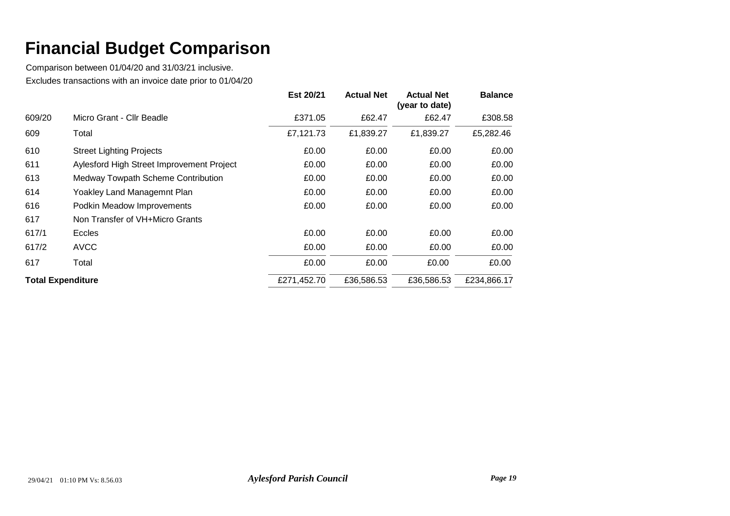|                          |                                           | Est 20/21   | <b>Actual Net</b> | <b>Actual Net</b><br>(year to date) | <b>Balance</b> |
|--------------------------|-------------------------------------------|-------------|-------------------|-------------------------------------|----------------|
| 609/20                   | Micro Grant - Cllr Beadle                 | £371.05     | £62.47            | £62.47                              | £308.58        |
| 609                      | Total                                     | £7,121.73   | £1,839.27         | £1,839.27                           | £5,282.46      |
| 610                      | <b>Street Lighting Projects</b>           | £0.00       | £0.00             | £0.00                               | £0.00          |
| 611                      | Aylesford High Street Improvement Project | £0.00       | £0.00             | £0.00                               | £0.00          |
| 613                      | Medway Towpath Scheme Contribution        | £0.00       | £0.00             | £0.00                               | £0.00          |
| 614                      | Yoakley Land Managemnt Plan               | £0.00       | £0.00             | £0.00                               | £0.00          |
| 616                      | Podkin Meadow Improvements                | £0.00       | £0.00             | £0.00                               | £0.00          |
| 617                      | Non Transfer of VH+Micro Grants           |             |                   |                                     |                |
| 617/1                    | <b>Eccles</b>                             | £0.00       | £0.00             | £0.00                               | £0.00          |
| 617/2                    | <b>AVCC</b>                               | £0.00       | £0.00             | £0.00                               | £0.00          |
| 617                      | Total                                     | £0.00       | £0.00             | £0.00                               | £0.00          |
| <b>Total Expenditure</b> |                                           | £271,452.70 | £36,586.53        | £36,586.53                          | £234,866.17    |